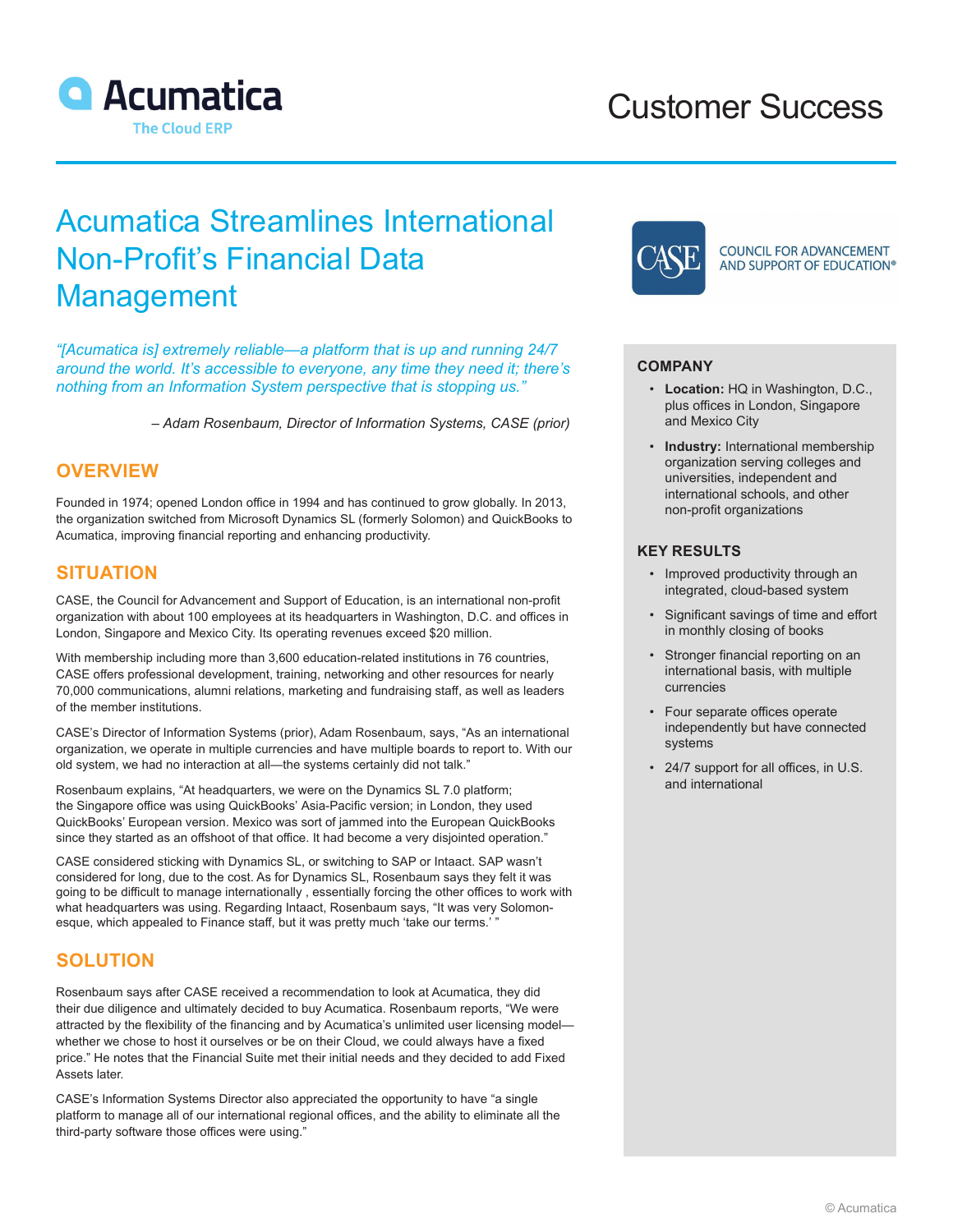

# Customer Success

# Acumatica Streamlines International Non-Profit's Financial Data Management

*"[Acumatica is] extremely reliable—a platform that is up and running 24/7 around the world. It's accessible to everyone, any time they need it; there's nothing from an Information System perspective that is stopping us."*

*– Adam Rosenbaum, Director of Information Systems, CASE (prior)*

#### **OVERVIEW**

Founded in 1974; opened London office in 1994 and has continued to grow globally. In 2013, the organization switched from Microsoft Dynamics SL (formerly Solomon) and QuickBooks to Acumatica, improving financial reporting and enhancing productivity.

### **SITUATION**

CASE, the Council for Advancement and Support of Education, is an international non-profit organization with about 100 employees at its headquarters in Washington, D.C. and offices in London, Singapore and Mexico City. Its operating revenues exceed \$20 million.

With membership including more than 3,600 education-related institutions in 76 countries, CASE offers professional development, training, networking and other resources for nearly 70,000 communications, alumni relations, marketing and fundraising staff, as well as leaders of the member institutions.

CASE's Director of Information Systems (prior), Adam Rosenbaum, says, "As an international organization, we operate in multiple currencies and have multiple boards to report to. With our old system, we had no interaction at all—the systems certainly did not talk."

Rosenbaum explains, "At headquarters, we were on the Dynamics SL 7.0 platform; the Singapore office was using QuickBooks' Asia-Pacific version; in London, they used QuickBooks' European version. Mexico was sort of jammed into the European QuickBooks since they started as an offshoot of that office. It had become a very disjointed operation."

CASE considered sticking with Dynamics SL, or switching to SAP or Intaact. SAP wasn't considered for long, due to the cost. As for Dynamics SL, Rosenbaum says they felt it was going to be difficult to manage internationally , essentially forcing the other offices to work with what headquarters was using. Regarding Intaact, Rosenbaum says, "It was very Solomonesque, which appealed to Finance staff, but it was pretty much 'take our terms.' '

### **SOLUTION**

Rosenbaum says after CASE received a recommendation to look at Acumatica, they did their due diligence and ultimately decided to buy Acumatica. Rosenbaum reports, "We were attracted by the flexibility of the financing and by Acumatica's unlimited user licensing model whether we chose to host it ourselves or be on their Cloud, we could always have a fixed price." He notes that the Financial Suite met their initial needs and they decided to add Fixed Assets later.

CASE's Information Systems Director also appreciated the opportunity to have "a single platform to manage all of our international regional offices, and the ability to eliminate all the third-party software those offices were using."



**COUNCIL FOR ADVANCEMENT** AND SUPPORT OF EDUCATION®

#### **COMPANY**

- **Location:** HQ in Washington, D.C., plus offices in London, Singapore and Mexico City
- **Industry:** International membership organization serving colleges and universities, independent and international schools, and other non-profit organizations

#### **KEY RESULTS**

- Improved productivity through an integrated, cloud-based system
- Significant savings of time and effort in monthly closing of books
- Stronger financial reporting on an international basis, with multiple currencies
- Four separate offices operate independently but have connected systems
- 24/7 support for all offices, in U.S. and international